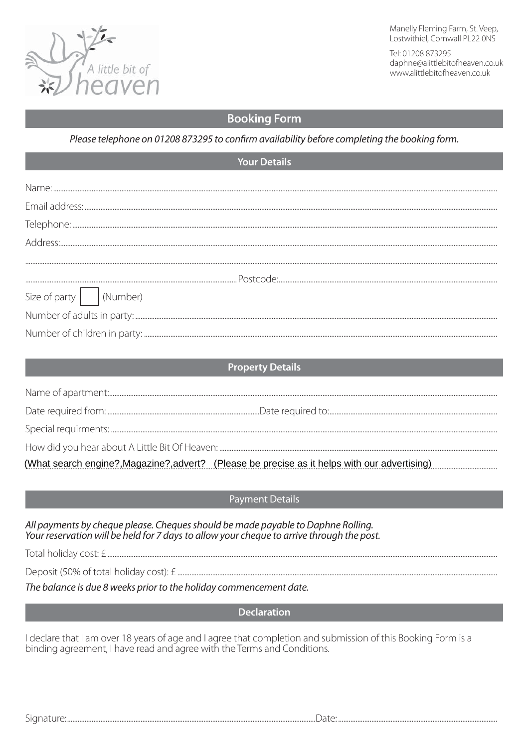

Manelly Fleming Farm, St. Veep, Lostwithiel, Cornwall PL22 ONS

Tel: 01208 873295 daphne@alittlebitofheaven.co.uk www.alittlebitofheaven.co.uk

# **Booking Form**

Please telephone on 01208 873295 to confirm availability before completing the booking form.

| <b>Your Details</b>                    |                                                                                               |
|----------------------------------------|-----------------------------------------------------------------------------------------------|
|                                        |                                                                                               |
|                                        |                                                                                               |
|                                        |                                                                                               |
|                                        |                                                                                               |
|                                        |                                                                                               |
|                                        |                                                                                               |
|                                        |                                                                                               |
| Size of party $\vert$ $\vert$ (Number) |                                                                                               |
|                                        |                                                                                               |
|                                        |                                                                                               |
|                                        |                                                                                               |
| <b>Property Details</b>                |                                                                                               |
|                                        |                                                                                               |
|                                        |                                                                                               |
|                                        |                                                                                               |
|                                        |                                                                                               |
|                                        | (What search engine?, Magazine?, advert? (Please be precise as it helps with our advertising) |

**Payment Details** 

All payments by cheaue please. Cheaues should be made payable to Daphne Rolling. Your reservation will be held for 7 days to allow your cheque to arrive through the post.

The balance is due 8 weeks prior to the holiday commencement date.

**Declaration** 

I declare that I am over 18 years of age and I agree that completion and submission of this Booking Form is a binding agreement, I have read and agree with the Terms and Conditions.